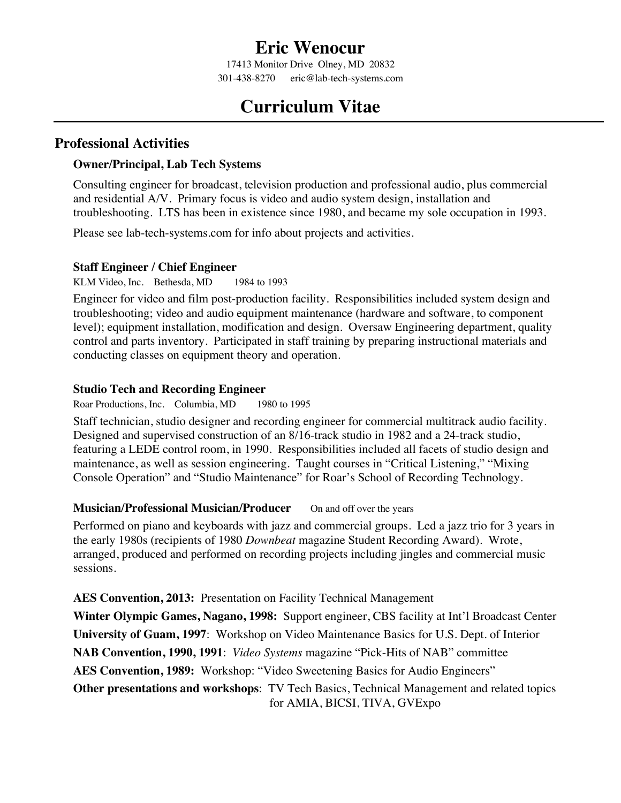## **Eric Wenocur**

17413 Monitor Drive Olney, MD 20832 301-438-8270 eric@lab-tech-systems.com

# **Curriculum Vitae**

### **Professional Activities**

#### **Owner/Principal, Lab Tech Systems**

Consulting engineer for broadcast, television production and professional audio, plus commercial and residential A/V. Primary focus is video and audio system design, installation and troubleshooting. LTS has been in existence since 1980, and became my sole occupation in 1993.

Please see lab-tech-systems.com for info about projects and activities.

#### **Staff Engineer / Chief Engineer**

KLM Video, Inc. Bethesda, MD 1984 to 1993

Engineer for video and film post-production facility. Responsibilities included system design and troubleshooting; video and audio equipment maintenance (hardware and software, to component level); equipment installation, modification and design. Oversaw Engineering department, quality control and parts inventory. Participated in staff training by preparing instructional materials and conducting classes on equipment theory and operation.

#### **Studio Tech and Recording Engineer**

Roar Productions, Inc. Columbia, MD 1980 to 1995

Staff technician, studio designer and recording engineer for commercial multitrack audio facility. Designed and supervised construction of an 8/16-track studio in 1982 and a 24-track studio, featuring a LEDE control room, in 1990. Responsibilities included all facets of studio design and maintenance, as well as session engineering. Taught courses in "Critical Listening," "Mixing Console Operation" and "Studio Maintenance" for Roar's School of Recording Technology.

#### **Musician/Professional Musician/Producer** On and off over the years

Performed on piano and keyboards with jazz and commercial groups. Led a jazz trio for 3 years in the early 1980s (recipients of 1980 *Downbeat* magazine Student Recording Award). Wrote, arranged, produced and performed on recording projects including jingles and commercial music sessions.

**AES Convention, 2013:** Presentation on Facility Technical Management

**Winter Olympic Games, Nagano, 1998:** Support engineer, CBS facility at Int'l Broadcast Center **University of Guam, 1997**: Workshop on Video Maintenance Basics for U.S. Dept. of Interior **NAB Convention, 1990, 1991**: *Video Systems* magazine "Pick-Hits of NAB" committee **AES Convention, 1989:** Workshop: "Video Sweetening Basics for Audio Engineers" **Other presentations and workshops**: TV Tech Basics, Technical Management and related topics for AMIA, BICSI, TIVA, GVExpo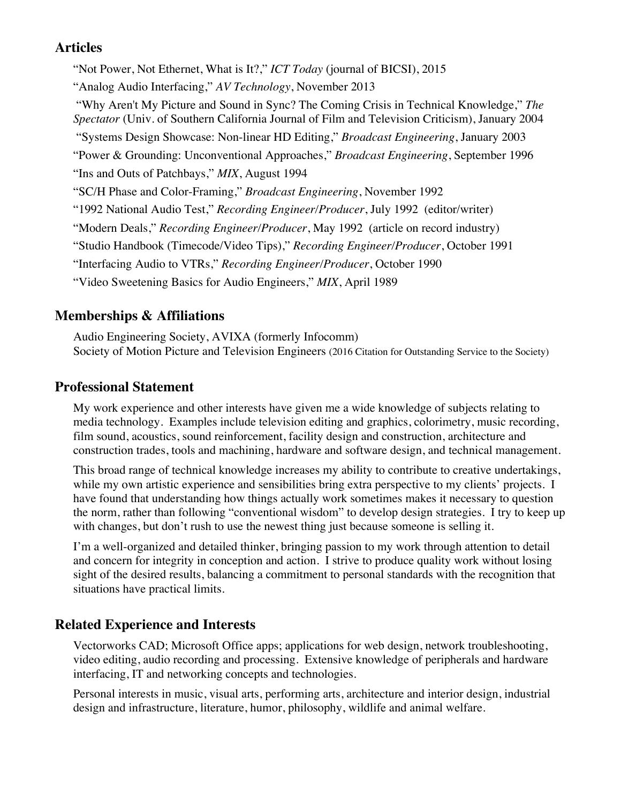## **Articles**

"Not Power, Not Ethernet, What is It?," *ICT Today* (journal of BICSI), 2015 "Analog Audio Interfacing," *AV Technology*, November 2013 "Why Aren't My Picture and Sound in Sync? The Coming Crisis in Technical Knowledge," *The Spectator* (Univ. of Southern California Journal of Film and Television Criticism), January 2004 "Systems Design Showcase: Non-linear HD Editing," *Broadcast Engineering*, January 2003 "Power & Grounding: Unconventional Approaches," *Broadcast Engineering*, September 1996 "Ins and Outs of Patchbays," *MIX*, August 1994 "SC/H Phase and Color-Framing," *Broadcast Engineering*, November 1992 "1992 National Audio Test," *Recording Engineer/Producer*, July 1992 (editor/writer) "Modern Deals," *Recording Engineer/Producer*, May 1992 (article on record industry) "Studio Handbook (Timecode/Video Tips)," *Recording Engineer/Producer*, October 1991 "Interfacing Audio to VTRs," *Recording Engineer/Producer*, October 1990 "Video Sweetening Basics for Audio Engineers," *MIX*, April 1989

## **Memberships & Affiliations**

Audio Engineering Society, AVIXA (formerly Infocomm) Society of Motion Picture and Television Engineers (2016 Citation for Outstanding Service to the Society)

## **Professional Statement**

My work experience and other interests have given me a wide knowledge of subjects relating to media technology. Examples include television editing and graphics, colorimetry, music recording, film sound, acoustics, sound reinforcement, facility design and construction, architecture and construction trades, tools and machining, hardware and software design, and technical management.

This broad range of technical knowledge increases my ability to contribute to creative undertakings, while my own artistic experience and sensibilities bring extra perspective to my clients' projects. I have found that understanding how things actually work sometimes makes it necessary to question the norm, rather than following "conventional wisdom" to develop design strategies. I try to keep up with changes, but don't rush to use the newest thing just because someone is selling it.

I'm a well-organized and detailed thinker, bringing passion to my work through attention to detail and concern for integrity in conception and action. I strive to produce quality work without losing sight of the desired results, balancing a commitment to personal standards with the recognition that situations have practical limits.

## **Related Experience and Interests**

Vectorworks CAD; Microsoft Office apps; applications for web design, network troubleshooting, video editing, audio recording and processing. Extensive knowledge of peripherals and hardware interfacing, IT and networking concepts and technologies.

Personal interests in music, visual arts, performing arts, architecture and interior design, industrial design and infrastructure, literature, humor, philosophy, wildlife and animal welfare.